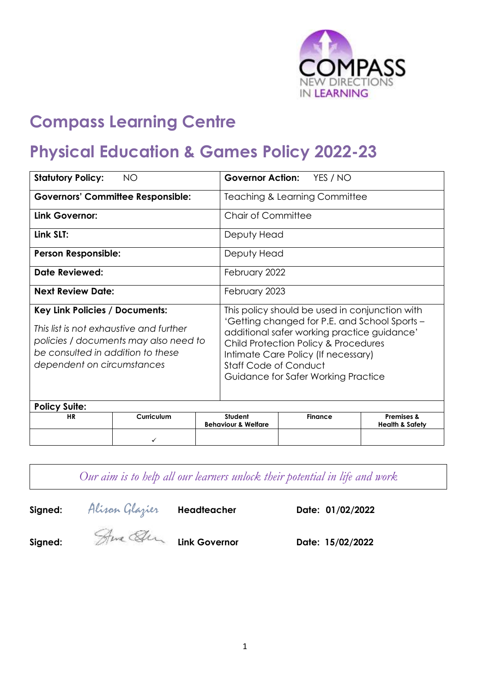

# **Compass Learning Centre**

# **Physical Education & Games Policy 2022-23**

| <b>Statutory Policy:</b><br>ΝO                                                                                                                                                               |   |                                          | <b>Governor Action:</b><br>YES / NO                                                                                                                                                                                                                                                                  |  |                |                            |  |
|----------------------------------------------------------------------------------------------------------------------------------------------------------------------------------------------|---|------------------------------------------|------------------------------------------------------------------------------------------------------------------------------------------------------------------------------------------------------------------------------------------------------------------------------------------------------|--|----------------|----------------------------|--|
| <b>Governors' Committee Responsible:</b>                                                                                                                                                     |   | <b>Teaching &amp; Learning Committee</b> |                                                                                                                                                                                                                                                                                                      |  |                |                            |  |
| Link Governor:                                                                                                                                                                               |   |                                          | Chair of Committee                                                                                                                                                                                                                                                                                   |  |                |                            |  |
| Link SLT:                                                                                                                                                                                    |   |                                          | Deputy Head                                                                                                                                                                                                                                                                                          |  |                |                            |  |
| <b>Person Responsible:</b>                                                                                                                                                                   |   |                                          | Deputy Head                                                                                                                                                                                                                                                                                          |  |                |                            |  |
| Date Reviewed:                                                                                                                                                                               |   |                                          | February 2022                                                                                                                                                                                                                                                                                        |  |                |                            |  |
| <b>Next Review Date:</b>                                                                                                                                                                     |   |                                          | February 2023                                                                                                                                                                                                                                                                                        |  |                |                            |  |
| <b>Key Link Policies / Documents:</b><br>This list is not exhaustive and further<br>policies / documents may also need to<br>be consulted in addition to these<br>dependent on circumstances |   |                                          | This policy should be used in conjunction with<br>'Getting changed for P.E. and School Sports -<br>additional safer working practice guidance'<br>Child Protection Policy & Procedures<br>Intimate Care Policy (If necessary)<br><b>Staff Code of Conduct</b><br>Guidance for Safer Working Practice |  |                |                            |  |
| <b>Policy Suite:</b><br>Curriculum<br><b>HR</b>                                                                                                                                              |   |                                          | Student                                                                                                                                                                                                                                                                                              |  | <b>Finance</b> | <b>Premises &amp;</b>      |  |
|                                                                                                                                                                                              |   |                                          | <b>Behaviour &amp; Welfare</b>                                                                                                                                                                                                                                                                       |  |                | <b>Health &amp; Safety</b> |  |
|                                                                                                                                                                                              | ✓ |                                          |                                                                                                                                                                                                                                                                                                      |  |                |                            |  |

*Our aim is to help all our learners unlock their potential in life and work*

**Signed:** Alison Glazier **Headteacher Date: 01/02/2022**

**Signed: Link Governor Date: 15/02/2022**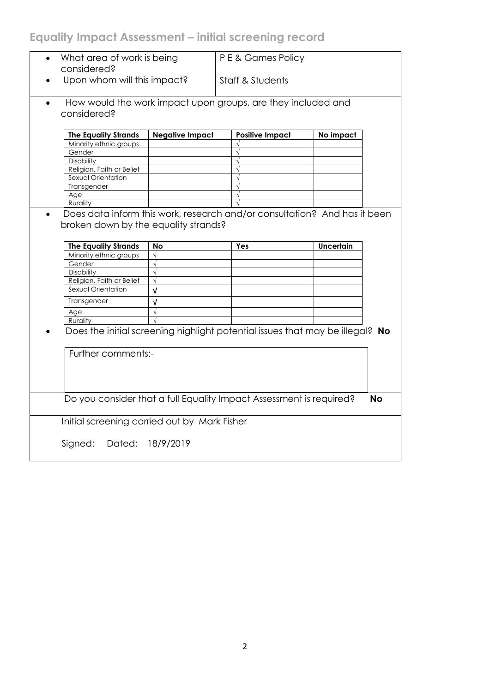# **Equality Impact Assessment – initial screening record**

| What area of work is being<br>$\bullet$<br>considered?              |                        | P E & Games Policy                                                            |           |           |  |  |
|---------------------------------------------------------------------|------------------------|-------------------------------------------------------------------------------|-----------|-----------|--|--|
| Upon whom will this impact?                                         |                        | Staff & Students                                                              |           |           |  |  |
| $\bullet$<br>considered?                                            |                        | How would the work impact upon groups, are they included and                  |           |           |  |  |
| <b>The Equality Strands</b>                                         | <b>Negative Impact</b> | <b>Positive Impact</b>                                                        | No impact |           |  |  |
| Minority ethnic groups                                              |                        |                                                                               |           |           |  |  |
| Gender                                                              |                        | $\sqrt{}$                                                                     |           |           |  |  |
| Disability                                                          |                        | $\sqrt{}$                                                                     |           |           |  |  |
| Religion, Faith or Belief                                           |                        | $\sqrt{}$                                                                     |           |           |  |  |
| Sexual Orientation                                                  |                        | $\sqrt{}$                                                                     |           |           |  |  |
| Transgender                                                         |                        | $\sqrt{}$                                                                     |           |           |  |  |
| Age                                                                 |                        |                                                                               |           |           |  |  |
| Rurality                                                            |                        |                                                                               |           |           |  |  |
| broken down by the equality strands?<br><b>The Equality Strands</b> | No                     | Yes                                                                           | Uncertain |           |  |  |
| Minority ethnic groups                                              | $\sqrt{ }$             |                                                                               |           |           |  |  |
| Gender                                                              | $\sqrt{}$              |                                                                               |           |           |  |  |
| <b>Disability</b>                                                   | $\sqrt{ }$             |                                                                               |           |           |  |  |
| Religion, Faith or Belief                                           | $\sqrt{}$              |                                                                               |           |           |  |  |
| Sexual Orientation                                                  | $\sqrt{ }$             |                                                                               |           |           |  |  |
|                                                                     |                        |                                                                               |           |           |  |  |
| Transgender                                                         | $\sqrt{ }$             |                                                                               |           |           |  |  |
| Age                                                                 | $\sqrt{}$              |                                                                               |           |           |  |  |
| Rurality                                                            |                        |                                                                               |           |           |  |  |
| Further comments:-                                                  |                        | Does the initial screening highlight potential issues that may be illegal? No |           |           |  |  |
|                                                                     |                        | Do you consider that a full Equality Impact Assessment is required?           |           | <b>No</b> |  |  |
| Initial screening carried out by Mark Fisher                        |                        |                                                                               |           |           |  |  |
| Dated:<br>Signed:                                                   | 18/9/2019              |                                                                               |           |           |  |  |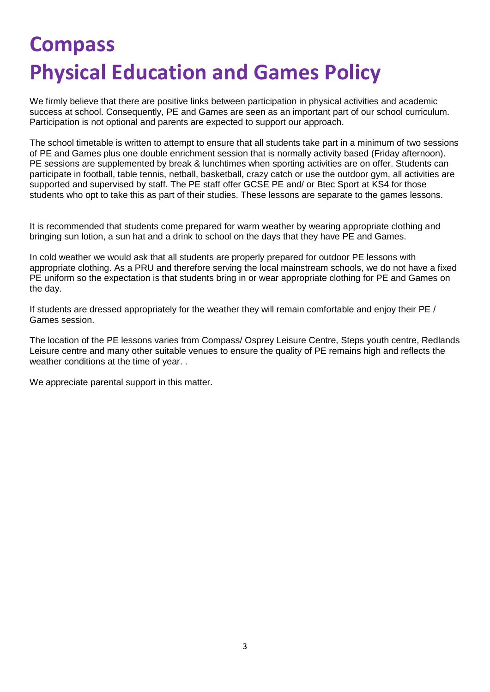# **Compass Physical Education and Games Policy**

We firmly believe that there are positive links between participation in physical activities and academic success at school. Consequently, PE and Games are seen as an important part of our school curriculum. Participation is not optional and parents are expected to support our approach.

The school timetable is written to attempt to ensure that all students take part in a minimum of two sessions of PE and Games plus one double enrichment session that is normally activity based (Friday afternoon). PE sessions are supplemented by break & lunchtimes when sporting activities are on offer. Students can participate in football, table tennis, netball, basketball, crazy catch or use the outdoor gym, all activities are supported and supervised by staff. The PE staff offer GCSE PE and/ or Btec Sport at KS4 for those students who opt to take this as part of their studies. These lessons are separate to the games lessons.

It is recommended that students come prepared for warm weather by wearing appropriate clothing and bringing sun lotion, a sun hat and a drink to school on the days that they have PE and Games.

In cold weather we would ask that all students are properly prepared for outdoor PE lessons with appropriate clothing. As a PRU and therefore serving the local mainstream schools, we do not have a fixed PE uniform so the expectation is that students bring in or wear appropriate clothing for PE and Games on the day.

If students are dressed appropriately for the weather they will remain comfortable and enjoy their PE / Games session.

The location of the PE lessons varies from Compass/ Osprey Leisure Centre, Steps youth centre, Redlands Leisure centre and many other suitable venues to ensure the quality of PE remains high and reflects the weather conditions at the time of year. .

We appreciate parental support in this matter.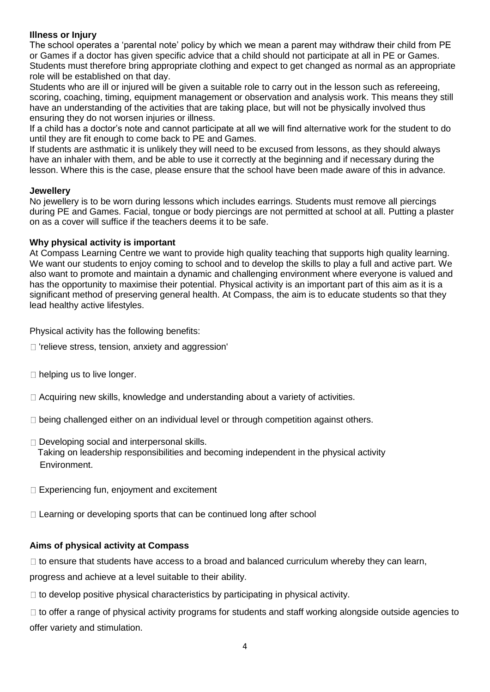# **Illness or Injury**

The school operates a 'parental note' policy by which we mean a parent may withdraw their child from PE or Games if a doctor has given specific advice that a child should not participate at all in PE or Games. Students must therefore bring appropriate clothing and expect to get changed as normal as an appropriate role will be established on that day.

Students who are ill or injured will be given a suitable role to carry out in the lesson such as refereeing, scoring, coaching, timing, equipment management or observation and analysis work. This means they still have an understanding of the activities that are taking place, but will not be physically involved thus ensuring they do not worsen injuries or illness.

If a child has a doctor's note and cannot participate at all we will find alternative work for the student to do until they are fit enough to come back to PE and Games.

If students are asthmatic it is unlikely they will need to be excused from lessons, as they should always have an inhaler with them, and be able to use it correctly at the beginning and if necessary during the lesson. Where this is the case, please ensure that the school have been made aware of this in advance*.* 

#### **Jewellery**

No jewellery is to be worn during lessons which includes earrings. Students must remove all piercings during PE and Games. Facial, tongue or body piercings are not permitted at school at all. Putting a plaster on as a cover will suffice if the teachers deems it to be safe.

# **Why physical activity is important**

At Compass Learning Centre we want to provide high quality teaching that supports high quality learning. We want our students to enjoy coming to school and to develop the skills to play a full and active part. We also want to promote and maintain a dynamic and challenging environment where everyone is valued and has the opportunity to maximise their potential. Physical activity is an important part of this aim as it is a significant method of preserving general health. At Compass, the aim is to educate students so that they lead healthy active lifestyles.

Physical activity has the following benefits:

- $\Box$  'relieve stress, tension, anxiety and aggression'
- $\Box$  helping us to live longer.
- $\Box$  Acquiring new skills, knowledge and understanding about a variety of activities.
- $\Box$  being challenged either on an individual level or through competition against others.
- $\Box$  Developing social and interpersonal skills. Taking on leadership responsibilities and becoming independent in the physical activity Environment.
- □ Experiencing fun, enjoyment and excitement
- $\Box$  Learning or developing sports that can be continued long after school

# **Aims of physical activity at Compass**

 $\Box$  to ensure that students have access to a broad and balanced curriculum whereby they can learn,

progress and achieve at a level suitable to their ability.

 $\Box$  to develop positive physical characteristics by participating in physical activity.

 $\Box$  to offer a range of physical activity programs for students and staff working alongside outside agencies to offer variety and stimulation.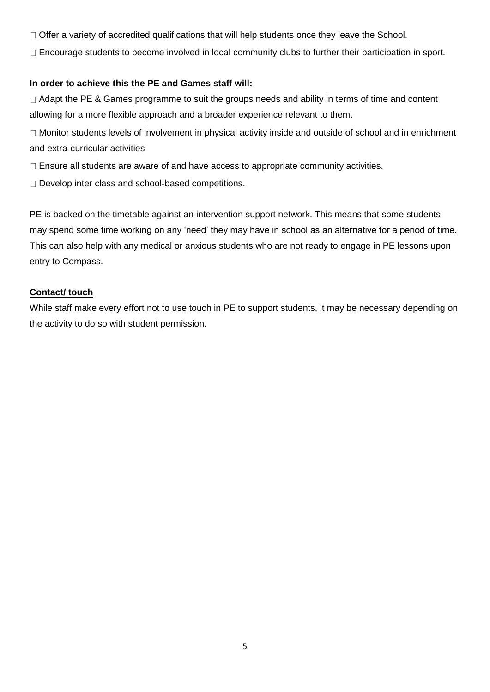- $\Box$  Offer a variety of accredited qualifications that will help students once they leave the School.
- Encourage students to become involved in local community clubs to further their participation in sport.

# **In order to achieve this the PE and Games staff will:**

□ Adapt the PE & Games programme to suit the groups needs and ability in terms of time and content allowing for a more flexible approach and a broader experience relevant to them.

□ Monitor students levels of involvement in physical activity inside and outside of school and in enrichment and extra-curricular activities

 $\Box$  Ensure all students are aware of and have access to appropriate community activities.

□ Develop inter class and school-based competitions.

PE is backed on the timetable against an intervention support network. This means that some students may spend some time working on any 'need' they may have in school as an alternative for a period of time. This can also help with any medical or anxious students who are not ready to engage in PE lessons upon entry to Compass.

# **Contact/ touch**

While staff make every effort not to use touch in PE to support students, it may be necessary depending on the activity to do so with student permission.